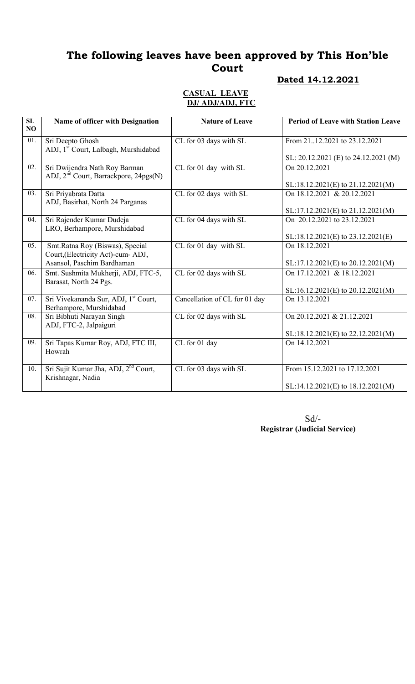# The following leaves have been approved by This Hon'ble Court

## Dated 14.12.2021

#### CASUAL LEAVE DJ/ ADJ/ADJ, FTC

| SL<br>NO | Name of officer with Designation                                                   | <b>Nature of Leave</b>        | <b>Period of Leave with Station Leave</b>                              |
|----------|------------------------------------------------------------------------------------|-------------------------------|------------------------------------------------------------------------|
| 01.      | Sri Deepto Ghosh<br>ADJ, 1 <sup>st</sup> Court, Lalbagh, Murshidabad               | CL for 03 days with SL        | From 2112.2021 to 23.12.2021                                           |
|          |                                                                                    |                               | SL: 20.12.2021 (E) to 24.12.2021 (M)                                   |
| 02.      | Sri Dwijendra Nath Roy Barman<br>ADJ, 2 <sup>nd</sup> Court, Barrackpore, 24pgs(N) | CL for 01 day with SL         | On 20.12.2021                                                          |
|          |                                                                                    |                               | SL:18.12.2021(E) to 21.12.2021(M)                                      |
| 03.      | Sri Priyabrata Datta<br>ADJ, Basirhat, North 24 Parganas                           | CL for 02 days with SL        | On 18.12.2021 & 20.12.2021                                             |
|          |                                                                                    |                               | $SL:17.12.2021(E)$ to 21.12.2021(M)                                    |
| 04.      | Sri Rajender Kumar Dudeja<br>LRO, Berhampore, Murshidabad                          | CL for 04 days with SL        | On 20.12.2021 to 23.12.2021                                            |
|          |                                                                                    |                               | SL:18.12.2021(E) to 23.12.2021(E)                                      |
| 05.      | Smt.Ratna Roy (Biswas), Special<br>Court, (Electricity Act)-cum- ADJ,              | CL for 01 day with SL         | On 18.12.2021                                                          |
|          | Asansol, Paschim Bardhaman                                                         |                               | SL:17.12.2021(E) to 20.12.2021(M)                                      |
| 06.      | Smt. Sushmita Mukherji, ADJ, FTC-5,<br>Barasat, North 24 Pgs.                      | CL for 02 days with SL        | On 17.12.2021 & 18.12.2021                                             |
|          |                                                                                    |                               | SL:16.12.2021(E) to 20.12.2021(M)                                      |
| 07.      | Sri Vivekananda Sur, ADJ, <sup>1st</sup> Court,<br>Berhampore, Murshidabad         | Cancellation of CL for 01 day | On 13.12.2021                                                          |
| 08.      | Sri Bibhuti Narayan Singh<br>ADJ, FTC-2, Jalpaiguri                                | CL for 02 days with SL        | On 20.12.2021 & 21.12.2021                                             |
|          |                                                                                    |                               | $SL:18.12.2021(E)$ to 22.12.2021(M)                                    |
| 09.      | Sri Tapas Kumar Roy, ADJ, FTC III,<br>Howrah                                       | CL for 01 day                 | On 14.12.2021                                                          |
| 10.      | Sri Sujit Kumar Jha, ADJ, 2 <sup>nd</sup> Court,<br>Krishnagar, Nadia              | CL for 03 days with SL        | From 15.12.2021 to 17.12.2021<br>$SL:14.12.2021(E)$ to $18.12.2021(M)$ |
|          |                                                                                    |                               |                                                                        |

Sd/- Registrar (Judicial Service)